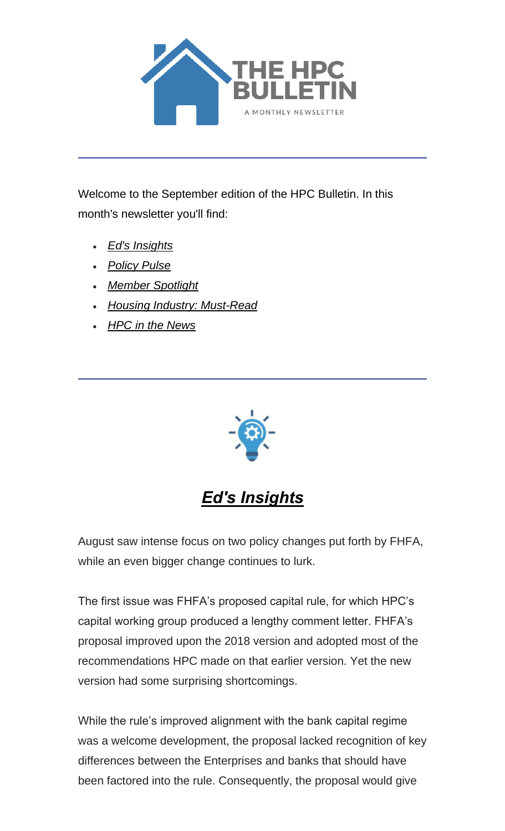

Welcome to the September edition of the HPC Bulletin. In this month's newsletter you'll find:

- *[Ed's Insights](#page-0-0)*
- *[Policy Pulse](#page-2-0)*
- *[Member Spotlight](#page-5-0)*
- *[Housing Industry: Must-Read](#page-6-0)*
- *[HPC in the News](#page-6-1)*



*Ed's Insights*

<span id="page-0-0"></span>August saw intense focus on two policy changes put forth by FHFA, while an even bigger change continues to lurk.

The first issue was FHFA's proposed capital rule, for which HPC's capital working group produced a lengthy comment letter. FHFA's proposal improved upon the 2018 version and adopted most of the recommendations HPC made on that earlier version. Yet the new version had some surprising shortcomings.

While the rule's improved alignment with the bank capital regime was a welcome development, the proposal lacked recognition of key differences between the Enterprises and banks that should have been factored into the rule. Consequently, the proposal would give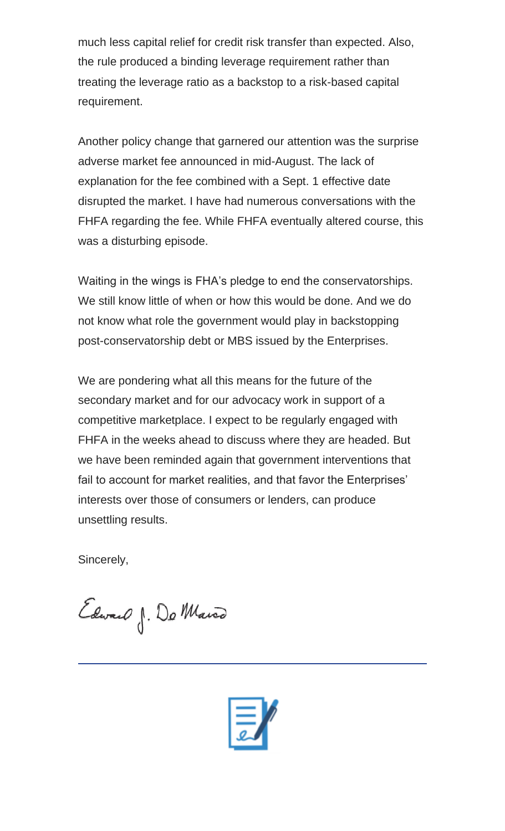much less capital relief for credit risk transfer than expected. Also, the rule produced a binding leverage requirement rather than treating the leverage ratio as a backstop to a risk-based capital requirement.

Another policy change that garnered our attention was the surprise adverse market fee announced in mid-August. The lack of explanation for the fee combined with a Sept. 1 effective date disrupted the market. I have had numerous conversations with the FHFA regarding the fee. While FHFA eventually altered course, this was a disturbing episode.

Waiting in the wings is FHA's pledge to end the conservatorships. We still know little of when or how this would be done. And we do not know what role the government would play in backstopping post-conservatorship debt or MBS issued by the Enterprises.

We are pondering what all this means for the future of the secondary market and for our advocacy work in support of a competitive marketplace. I expect to be regularly engaged with FHFA in the weeks ahead to discuss where they are headed. But we have been reminded again that government interventions that fail to account for market realities, and that favor the Enterprises' interests over those of consumers or lenders, can produce unsettling results.

Sincerely,

Edward J. Do Marco

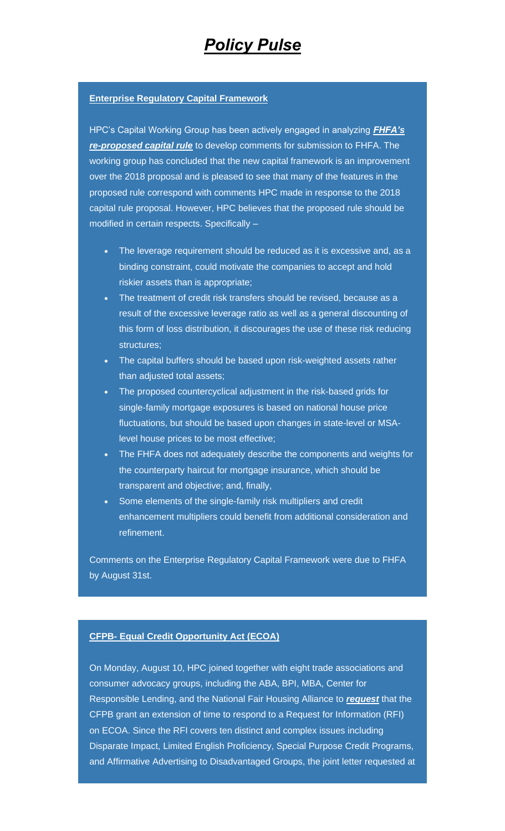### <span id="page-2-0"></span>**Enterprise Regulatory Capital Framework**

HPC's Capital Working Group has been actively engaged in analyzing *[FHFA's](https://nam05.safelinks.protection.outlook.com/?url=https%3A%2F%2Fwww.fhfa.gov%2FSupervisionRegulation%2FRules%2FPages%2FEnterprise-Regulatory-Capital-Framework.aspx&data=02%7C01%7CAnna.Herndon%40edelman.com%7C33e067aebbf3416d7c9d08d84df82747%7Cb824bfb3918e43c2bb1cdcc1ba40a82b%7C0%7C0%7C637345075525570575&sdata=75Zlt3MBRy8kgtJpAJzADL2qKDNrYX0c0MsrxWFMxHE%3D&reserved=0)  [re-proposed capital rule](https://nam05.safelinks.protection.outlook.com/?url=https%3A%2F%2Fwww.fhfa.gov%2FSupervisionRegulation%2FRules%2FPages%2FEnterprise-Regulatory-Capital-Framework.aspx&data=02%7C01%7CAnna.Herndon%40edelman.com%7C33e067aebbf3416d7c9d08d84df82747%7Cb824bfb3918e43c2bb1cdcc1ba40a82b%7C0%7C0%7C637345075525570575&sdata=75Zlt3MBRy8kgtJpAJzADL2qKDNrYX0c0MsrxWFMxHE%3D&reserved=0)* to develop comments for submission to FHFA. The working group has concluded that the new capital framework is an improvement over the 2018 proposal and is pleased to see that many of the features in the proposed rule correspond with comments HPC made in response to the 2018 capital rule proposal. However, HPC believes that the proposed rule should be modified in certain respects. Specifically –

- The leverage requirement should be reduced as it is excessive and, as a binding constraint, could motivate the companies to accept and hold riskier assets than is appropriate;
- The treatment of credit risk transfers should be revised, because as a result of the excessive leverage ratio as well as a general discounting of this form of loss distribution, it discourages the use of these risk reducing structures;
- The capital buffers should be based upon risk-weighted assets rather than adjusted total assets;
- The proposed countercyclical adjustment in the risk-based grids for single-family mortgage exposures is based on national house price fluctuations, but should be based upon changes in state-level or MSAlevel house prices to be most effective;
- The FHFA does not adequately describe the components and weights for the counterparty haircut for mortgage insurance, which should be transparent and objective; and, finally,
- Some elements of the single-family risk multipliers and credit enhancement multipliers could benefit from additional consideration and refinement.

Comments on the Enterprise Regulatory Capital Framework were due to FHFA by August 31st.

#### **CFPB- Equal Credit Opportunity Act (ECOA)**

On Monday, August 10, HPC joined together with eight trade associations and consumer advocacy groups, including the ABA, BPI, MBA, Center for Responsible Lending, and the National Fair Housing Alliance to *[request](https://nam05.safelinks.protection.outlook.com/?url=https%3A%2F%2Ffbb0ab68-1668-4db6-9365-051035190b71.filesusr.com%2Fugd%2Fd315af_5afa3de4eac741dbb2be879f5e19cdd7.pdf&data=02%7C01%7CAnna.Herndon%40edelman.com%7C33e067aebbf3416d7c9d08d84df82747%7Cb824bfb3918e43c2bb1cdcc1ba40a82b%7C0%7C1%7C637345075525570575&sdata=6jFoULzpKNLxQ9%2FZnaZKyVY%2BbtQw8BYP9VrJJGnSZGo%3D&reserved=0)* that the CFPB grant an extension of time to respond to a Request for Information (RFI) on ECOA. Since the RFI covers ten distinct and complex issues including Disparate Impact, Limited English Proficiency, Special Purpose Credit Programs, and Affirmative Advertising to Disadvantaged Groups, the joint letter requested at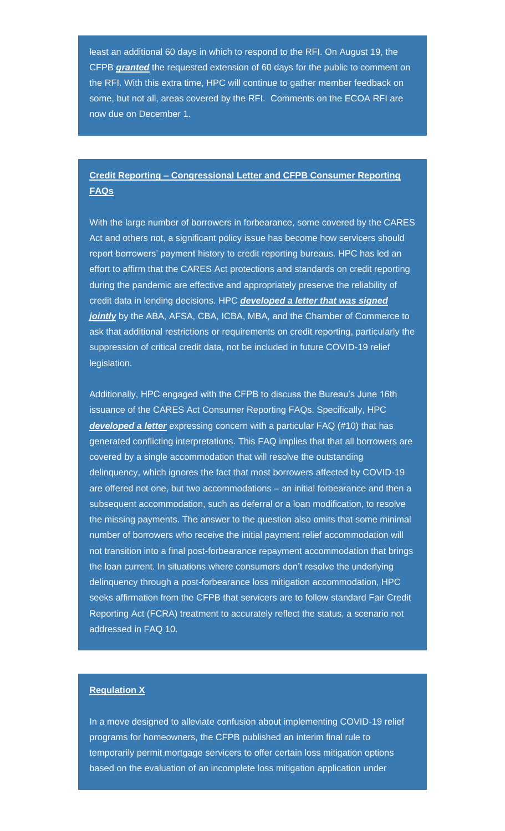least an additional 60 days in which to respond to the RFI. On August 19, the CFPB *[granted](https://nam05.safelinks.protection.outlook.com/?url=https%3A%2F%2Fwww.consumerfinance.gov%2Fabout-us%2Fnewsroom%2Fcfpb-extends-rfi-comment-period-ways-prevent-credit-discrimination-build-more-inclusive-financial-system%2F&data=02%7C01%7CAnna.Herndon%40edelman.com%7C33e067aebbf3416d7c9d08d84df82747%7Cb824bfb3918e43c2bb1cdcc1ba40a82b%7C0%7C0%7C637345075525580570&sdata=u%2Baww6vrhsh7jUyUkflv%2B5HT7wqRoVYq6NaE0RGg%2BIE%3D&reserved=0)* the requested extension of 60 days for the public to comment on the RFI. With this extra time, HPC will continue to gather member feedback on some, but not all, areas covered by the RFI. Comments on the ECOA RFI are now due on December 1.

### **Credit Reporting – Congressional Letter and CFPB Consumer Reporting FAQs**

With the large number of borrowers in forbearance, some covered by the CARES Act and others not, a significant policy issue has become how servicers should report borrowers' payment history to credit reporting bureaus. HPC has led an effort to affirm that the CARES Act protections and standards on credit reporting during the pandemic are effective and appropriately preserve the reliability of credit data in lending decisions. HPC *[developed a letter that was signed](https://nam05.safelinks.protection.outlook.com/?url=https%3A%2F%2Ffbb0ab68-1668-4db6-9365-051035190b71.filesusr.com%2Fugd%2Fd315af_31456cb557db4b058ef53884b48f54e4.pdf&data=02%7C01%7CAnna.Herndon%40edelman.com%7C33e067aebbf3416d7c9d08d84df82747%7Cb824bfb3918e43c2bb1cdcc1ba40a82b%7C0%7C1%7C637345075525590565&sdata=gO103ft9h7cUPATATS4HAP3FxriZtoLuM5Q23hgtSN8%3D&reserved=0)*  **[jointly](https://nam05.safelinks.protection.outlook.com/?url=https%3A%2F%2Ffbb0ab68-1668-4db6-9365-051035190b71.filesusr.com%2Fugd%2Fd315af_31456cb557db4b058ef53884b48f54e4.pdf&data=02%7C01%7CAnna.Herndon%40edelman.com%7C33e067aebbf3416d7c9d08d84df82747%7Cb824bfb3918e43c2bb1cdcc1ba40a82b%7C0%7C1%7C637345075525590565&sdata=gO103ft9h7cUPATATS4HAP3FxriZtoLuM5Q23hgtSN8%3D&reserved=0)** by the ABA, AFSA, CBA, ICBA, MBA, and the Chamber of Commerce to ask that additional restrictions or requirements on credit reporting, particularly the suppression of critical credit data, not be included in future COVID-19 relief legislation.

Additionally, HPC engaged with the CFPB to discuss the Bureau's June 16th issuance of the CARES Act Consumer Reporting FAQs. Specifically, HPC *[developed a letter](https://nam05.safelinks.protection.outlook.com/?url=https%3A%2F%2Ffbb0ab68-1668-4db6-9365-051035190b71.filesusr.com%2Fugd%2Fd315af_4c043e9f32374f7b9e402c964a54e251.pdf&data=02%7C01%7CAnna.Herndon%40edelman.com%7C33e067aebbf3416d7c9d08d84df82747%7Cb824bfb3918e43c2bb1cdcc1ba40a82b%7C0%7C1%7C637345075525590565&sdata=pPr56YZ%2F51TmE%2BC1sTu8dU8vQRZ5rw783SN1H6QETgY%3D&reserved=0)* expressing concern with a particular FAQ (#10) that has generated conflicting interpretations. This FAQ implies that that all borrowers are covered by a single accommodation that will resolve the outstanding delinquency, which ignores the fact that most borrowers affected by COVID-19 are offered not one, but two accommodations – an initial forbearance and then a subsequent accommodation, such as deferral or a loan modification, to resolve the missing payments. The answer to the question also omits that some minimal number of borrowers who receive the initial payment relief accommodation will not transition into a final post-forbearance repayment accommodation that brings the loan current. In situations where consumers don't resolve the underlying delinquency through a post-forbearance loss mitigation accommodation, HPC seeks affirmation from the CFPB that servicers are to follow standard Fair Credit Reporting Act (FCRA) treatment to accurately reflect the status, a scenario not addressed in FAQ 10.

### **Regulation X**

In a move designed to alleviate confusion about implementing COVID-19 relief programs for homeowners, the CFPB published an interim final rule to temporarily permit mortgage servicers to offer certain loss mitigation options based on the evaluation of an incomplete loss mitigation application under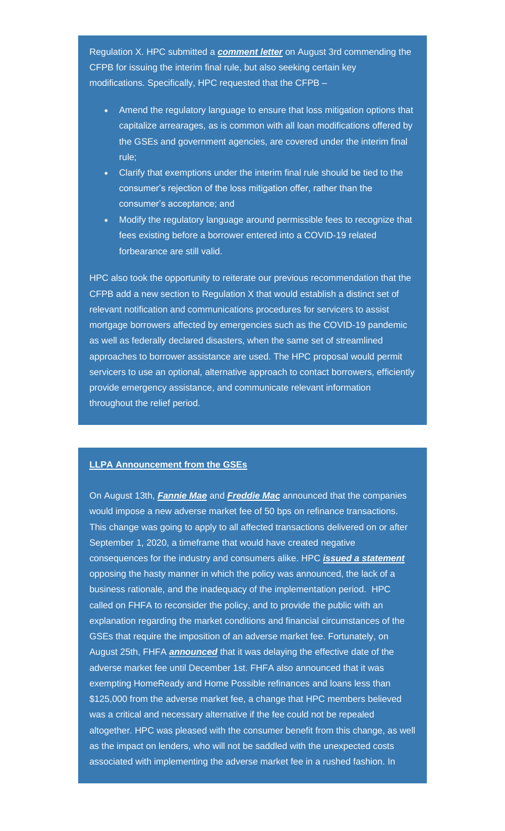Regulation X. HPC submitted a *[comment letter](https://nam05.safelinks.protection.outlook.com/?url=https%3A%2F%2Ffbb0ab68-1668-4db6-9365-051035190b71.filesusr.com%2Fugd%2Fd315af_a6d586b618af49678396abae880c4ca7.pdf&data=02%7C01%7CAnna.Herndon%40edelman.com%7C33e067aebbf3416d7c9d08d84df82747%7Cb824bfb3918e43c2bb1cdcc1ba40a82b%7C0%7C1%7C637345075525600557&sdata=DnNK3nRnOfx%2FIzY%2FQSSCw7PIq5iGGyJXHreXwdt619s%3D&reserved=0)* on August 3rd commending the CFPB for issuing the interim final rule, but also seeking certain key modifications. Specifically, HPC requested that the CFPB –

- Amend the regulatory language to ensure that loss mitigation options that capitalize arrearages, as is common with all loan modifications offered by the GSEs and government agencies, are covered under the interim final rule;
- Clarify that exemptions under the interim final rule should be tied to the consumer's rejection of the loss mitigation offer, rather than the consumer's acceptance; and
- Modify the regulatory language around permissible fees to recognize that fees existing before a borrower entered into a COVID-19 related forbearance are still valid.

HPC also took the opportunity to reiterate our previous recommendation that the CFPB add a new section to Regulation X that would establish a distinct set of relevant notification and communications procedures for servicers to assist mortgage borrowers affected by emergencies such as the COVID-19 pandemic as well as federally declared disasters, when the same set of streamlined approaches to borrower assistance are used. The HPC proposal would permit servicers to use an optional, alternative approach to contact borrowers, efficiently provide emergency assistance, and communicate relevant information throughout the relief period.

### **LLPA Announcement from the GSEs**

On August 13th, *[Fannie Mae](https://nam05.safelinks.protection.outlook.com/?url=https%3A%2F%2Fsinglefamily.fanniemae.com%2Fmedia%2F23726%2Fdisplay&data=02%7C01%7CAnna.Herndon%40edelman.com%7C33e067aebbf3416d7c9d08d84df82747%7Cb824bfb3918e43c2bb1cdcc1ba40a82b%7C0%7C0%7C637345075525600557&sdata=s76AmP2gfEN0DKItfIQltYvHOMBFQYRQRTJuRqkq0vQ%3D&reserved=0)* and *[Freddie Mac](https://nam05.safelinks.protection.outlook.com/?url=https%3A%2F%2Fguide.freddiemac.com%2Fapp%2Fguide%2Fbulletin%2F2020-32&data=02%7C01%7CAnna.Herndon%40edelman.com%7C33e067aebbf3416d7c9d08d84df82747%7Cb824bfb3918e43c2bb1cdcc1ba40a82b%7C0%7C0%7C637345075525610552&sdata=GqwFVyTQyB9Xm7lilflrTGBw16UiCiRMvBupuqVN9DU%3D&reserved=0)* announced that the companies would impose a new adverse market fee of 50 bps on refinance transactions. This change was going to apply to all affected transactions delivered on or after September 1, 2020, a timeframe that would have created negative consequences for the industry and consumers alike. HPC *[issued a statement](https://nam05.safelinks.protection.outlook.com/?url=https%3A%2F%2Ffbb0ab68-1668-4db6-9365-051035190b71.filesusr.com%2Fugd%2Fd315af_8f46797e522a449f8be2560ceecdbedb.pdf&data=02%7C01%7CAnna.Herndon%40edelman.com%7C33e067aebbf3416d7c9d08d84df82747%7Cb824bfb3918e43c2bb1cdcc1ba40a82b%7C0%7C1%7C637345075525610552&sdata=akwdLbV%2F%2BVCJgjbF6XNwRKNdGDPy%2BYmGidOvcevqBOg%3D&reserved=0)* opposing the hasty manner in which the policy was announced, the lack of a business rationale, and the inadequacy of the implementation period. HPC called on FHFA to reconsider the policy, and to provide the public with an explanation regarding the market conditions and financial circumstances of the GSEs that require the imposition of an adverse market fee. Fortunately, on August 25th, FHFA *[announced](https://nam05.safelinks.protection.outlook.com/?url=https%3A%2F%2Fwww.fhfa.gov%2FMedia%2FPublicAffairs%2FPages%2FAdverse-Market-Refinance-Fee-Implementation-Now-December-1.aspx&data=02%7C01%7CAnna.Herndon%40edelman.com%7C33e067aebbf3416d7c9d08d84df82747%7Cb824bfb3918e43c2bb1cdcc1ba40a82b%7C0%7C0%7C637345075525620546&sdata=WU2JTea%2FUPIti%2FqIHYB131IklDd3uPHLjrKE96Qx1Po%3D&reserved=0)* that it was delaying the effective date of the adverse market fee until December 1st. FHFA also announced that it was exempting HomeReady and Home Possible refinances and loans less than \$125,000 from the adverse market fee, a change that HPC members believed was a critical and necessary alternative if the fee could not be repealed altogether. HPC was pleased with the consumer benefit from this change, as well as the impact on lenders, who will not be saddled with the unexpected costs associated with implementing the adverse market fee in a rushed fashion. In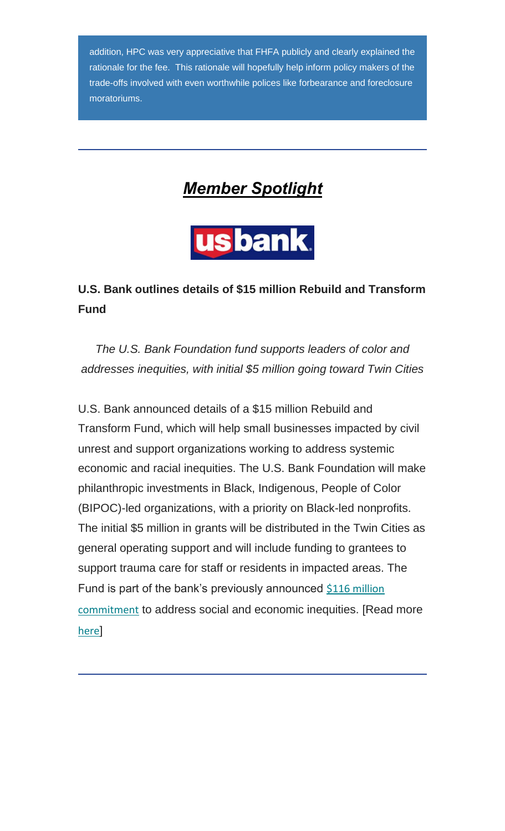addition, HPC was very appreciative that FHFA publicly and clearly explained the rationale for the fee. This rationale will hopefully help inform policy makers of the trade-offs involved with even worthwhile polices like forbearance and foreclosure moratoriums.

<span id="page-5-0"></span>

usbank.

## **U.S. Bank outlines details of \$15 million Rebuild and Transform Fund**

*The U.S. Bank Foundation fund supports leaders of color and addresses inequities, with initial \$5 million going toward Twin Cities*

U.S. Bank announced details of a \$15 million Rebuild and Transform Fund, which will help small businesses impacted by civil unrest and support organizations working to address systemic economic and racial inequities. The U.S. Bank Foundation will make philanthropic investments in Black, Indigenous, People of Color (BIPOC)-led organizations, with a priority on Black-led nonprofits. The initial \$5 million in grants will be distributed in the Twin Cities as general operating support and will include funding to grantees to support trauma care for staff or residents in impacted areas. The Fund is part of the bank's previously announced [\\$116 million](https://nam05.safelinks.protection.outlook.com/?url=https%3A%2F%2Fwww.usbank.com%2Fnewsroom%2Fstories%2Fus-bank-to-rebuild-in-minneapolis-announces-multiple-investments-and-initiatives-to-address-social-and-economic-inequities.html&data=02%7C01%7CAnna.Herndon%40edelman.com%7C33e067aebbf3416d7c9d08d84df82747%7Cb824bfb3918e43c2bb1cdcc1ba40a82b%7C0%7C0%7C637345075525620546&sdata=%2B4FG%2BHi0tStN5wh2%2B9WiDB9uzqlR4Z3%2BbbfzcNpejZ4%3D&reserved=0)  [commitment](https://nam05.safelinks.protection.outlook.com/?url=https%3A%2F%2Fwww.usbank.com%2Fnewsroom%2Fstories%2Fus-bank-to-rebuild-in-minneapolis-announces-multiple-investments-and-initiatives-to-address-social-and-economic-inequities.html&data=02%7C01%7CAnna.Herndon%40edelman.com%7C33e067aebbf3416d7c9d08d84df82747%7Cb824bfb3918e43c2bb1cdcc1ba40a82b%7C0%7C0%7C637345075525620546&sdata=%2B4FG%2BHi0tStN5wh2%2B9WiDB9uzqlR4Z3%2BbbfzcNpejZ4%3D&reserved=0) to address social and economic inequities. [Read more [here](https://nam05.safelinks.protection.outlook.com/?url=https%3A%2F%2Fwww.usbank.com%2Fnewsroom%2Fstories%2Fus-bank-outlines-details-of-15-million-rebuild-and-transform-fund.html&data=02%7C01%7CAnna.Herndon%40edelman.com%7C33e067aebbf3416d7c9d08d84df82747%7Cb824bfb3918e43c2bb1cdcc1ba40a82b%7C0%7C0%7C637345075525630545&sdata=X8t4c9l9AmI09SJEwklEBRPJwhQQcYEmayGrsH5tNoc%3D&reserved=0)]